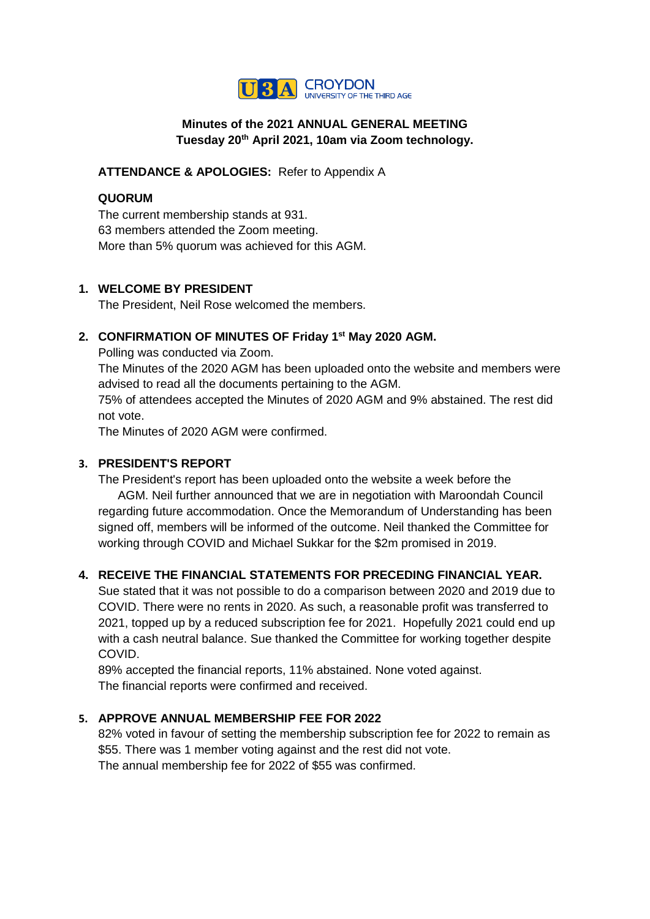

## **Minutes of the 2021 ANNUAL GENERAL MEETING Tuesday 20th April 2021, 10am via Zoom technology.**

**ATTENDANCE & APOLOGIES:** Refer to Appendix A

## **QUORUM**

The current membership stands at 931. 63 members attended the Zoom meeting. More than 5% quorum was achieved for this AGM.

### **1. WELCOME BY PRESIDENT**

The President, Neil Rose welcomed the members.

# **2. CONFIRMATION OF MINUTES OF Friday 1st May 2020 AGM.**

Polling was conducted via Zoom.

The Minutes of the 2020 AGM has been uploaded onto the website and members were advised to read all the documents pertaining to the AGM.

75% of attendees accepted the Minutes of 2020 AGM and 9% abstained. The rest did not vote.

The Minutes of 2020 AGM were confirmed.

## **3. PRESIDENT'S REPORT**

The President's report has been uploaded onto the website a week before the AGM. Neil further announced that we are in negotiation with Maroondah Council regarding future accommodation. Once the Memorandum of Understanding has been signed off, members will be informed of the outcome. Neil thanked the Committee for working through COVID and Michael Sukkar for the \$2m promised in 2019.

# **4. RECEIVE THE FINANCIAL STATEMENTS FOR PRECEDING FINANCIAL YEAR.**

Sue stated that it was not possible to do a comparison between 2020 and 2019 due to COVID. There were no rents in 2020. As such, a reasonable profit was transferred to 2021, topped up by a reduced subscription fee for 2021. Hopefully 2021 could end up with a cash neutral balance. Sue thanked the Committee for working together despite COVID.

89% accepted the financial reports, 11% abstained. None voted against. The financial reports were confirmed and received.

## **5. APPROVE ANNUAL MEMBERSHIP FEE FOR 2022**

82% voted in favour of setting the membership subscription fee for 2022 to remain as \$55. There was 1 member voting against and the rest did not vote. The annual membership fee for 2022 of \$55 was confirmed.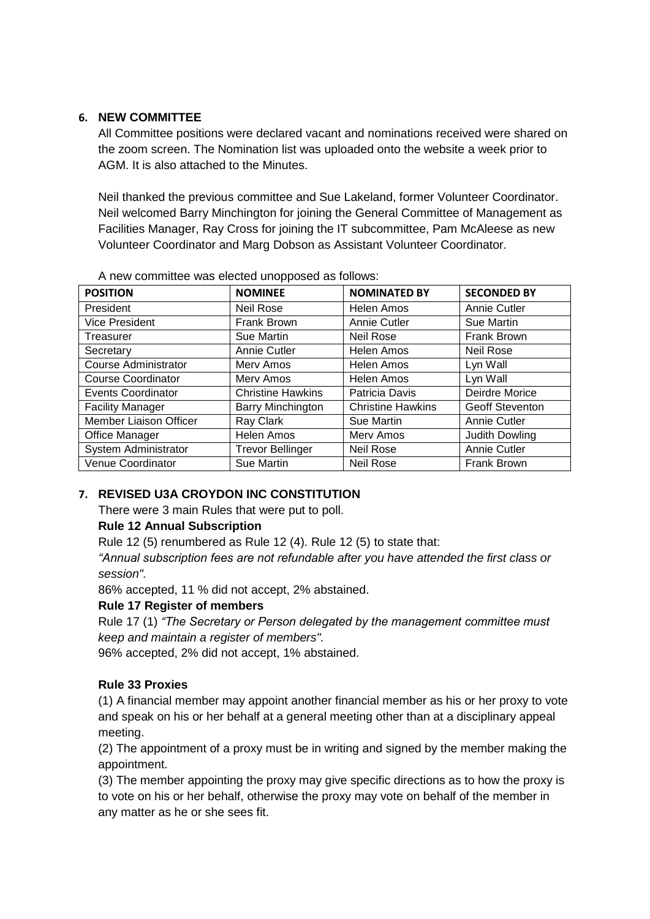## **6. NEW COMMITTEE**

All Committee positions were declared vacant and nominations received were shared on the zoom screen. The Nomination list was uploaded onto the website a week prior to AGM. It is also attached to the Minutes.

Neil thanked the previous committee and Sue Lakeland, former Volunteer Coordinator. Neil welcomed Barry Minchington for joining the General Committee of Management as Facilities Manager, Ray Cross for joining the IT subcommittee, Pam McAleese as new Volunteer Coordinator and Marg Dobson as Assistant Volunteer Coordinator.

| <b>POSITION</b>               | <b>NOMINEE</b>           | <b>NOMINATED BY</b>      | <b>SECONDED BY</b>     |
|-------------------------------|--------------------------|--------------------------|------------------------|
| President                     | <b>Neil Rose</b>         | Helen Amos               | Annie Cutler           |
| <b>Vice President</b>         | Frank Brown              | Annie Cutler             | Sue Martin             |
| Treasurer                     | Sue Martin               | <b>Neil Rose</b>         | Frank Brown            |
| Secretary                     | Annie Cutler             | Helen Amos               | <b>Neil Rose</b>       |
| <b>Course Administrator</b>   | Merv Amos                | Helen Amos               | Lyn Wall               |
| <b>Course Coordinator</b>     | Merv Amos                | Helen Amos               | Lyn Wall               |
| <b>Events Coordinator</b>     | <b>Christine Hawkins</b> | Patricia Davis           | Deirdre Morice         |
| <b>Facility Manager</b>       | Barry Minchington        | <b>Christine Hawkins</b> | <b>Geoff Steventon</b> |
| <b>Member Liaison Officer</b> | Ray Clark                | Sue Martin               | Annie Cutler           |
| Office Manager                | <b>Helen Amos</b>        | Merv Amos                | Judith Dowling         |
| System Administrator          | <b>Trevor Bellinger</b>  | <b>Neil Rose</b>         | Annie Cutler           |
| Venue Coordinator             | Sue Martin               | <b>Neil Rose</b>         | Frank Brown            |

A new committee was elected unopposed as follows:

# **7. REVISED U3A CROYDON INC CONSTITUTION**

There were 3 main Rules that were put to poll.

### **Rule 12 Annual Subscription**

Rule 12 (5) renumbered as Rule 12 (4). Rule 12 (5) to state that:

*"Annual subscription fees are not refundable after you have attended the first class or session".*

86% accepted, 11 % did not accept, 2% abstained.

### **Rule 17 Register of members**

Rule 17 (1) *"The Secretary or Person delegated by the management committee must keep and maintain a register of members".* 

96% accepted, 2% did not accept, 1% abstained.

### **Rule 33 Proxies**

(1) A financial member may appoint another financial member as his or her proxy to vote and speak on his or her behalf at a general meeting other than at a disciplinary appeal meeting.

(2) The appointment of a proxy must be in writing and signed by the member making the appointment.

(3) The member appointing the proxy may give specific directions as to how the proxy is to vote on his or her behalf, otherwise the proxy may vote on behalf of the member in any matter as he or she sees fit.